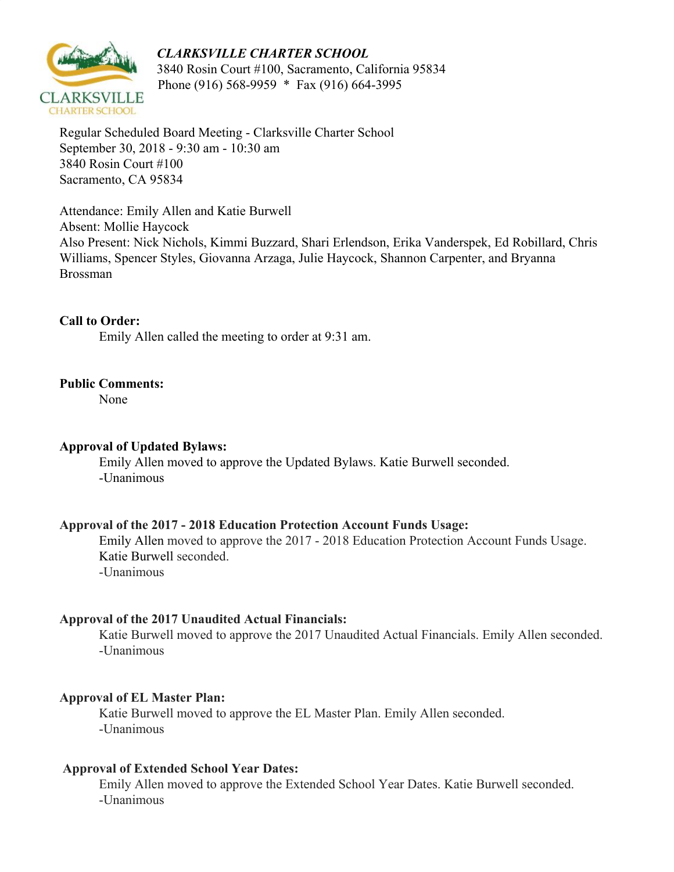# *CLARKSVILLE CHARTER SCHOOL*



 3840 Rosin Court #100, Sacramento, California 95834 Phone (916) 568-9959 \* Fax (916) 664-3995

Regular Scheduled Board Meeting - Clarksville Charter School September 30, 2018 - 9:30 am - 10:30 am 3840 Rosin Court #100 Sacramento, CA 95834

Attendance: Emily Allen and Katie Burwell Absent: Mollie Haycock Also Present: Nick Nichols, Kimmi Buzzard, Shari Erlendson, Erika Vanderspek, Ed Robillard, Chris Williams, Spencer Styles, Giovanna Arzaga, Julie Haycock, Shannon Carpenter, and Bryanna Brossman

**Call to Order:** Emily Allen called the meeting to order at 9:31 am.

# **Public Comments:**

None

# **Approval of Updated Bylaws:**

Emily Allen moved to approve the Updated Bylaws. Katie Burwell seconded. -Unanimous

# **Approval of the 2017 - 2018 Education Protection Account Funds Usage:**

Emily Allen moved to approve the 2017 - 2018 Education Protection Account Funds Usage. Katie Burwell seconded. -Unanimous

# **Approval of the 2017 Unaudited Actual Financials:**

Katie Burwell moved to approve the 2017 Unaudited Actual Financials. Emily Allen seconded. -Unanimous

# **Approval of EL Master Plan:**

Katie Burwell moved to approve the EL Master Plan. Emily Allen seconded. -Unanimous

# **Approval of Extended School Year Dates:**

Emily Allen moved to approve the Extended School Year Dates. Katie Burwell seconded. -Unanimous